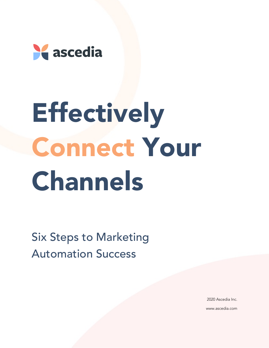

# **Effectively** Connect Your Channels

Six Steps to Marketing Automation Success

> 2020 Ascedia Inc. www.ascedia.com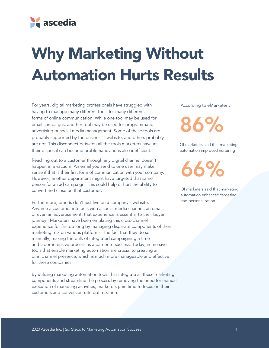

### Why Marketing Without Automation Hurts Results

For years, digital marketing professionals have struggled with having to manage many different tools for many different forms of online communication. While one tool may be used for email campaigns, another tool may be used for programmatic advertising or social media management. Some of these tools are probably supported by the business's website, and others probably are not. This disconnect between all the tools marketers have at their disposal can become problematic and is also inefficient.

Reaching out to a customer through any digital channel doesn't happen in a vacuum. An email you send to one user may make sense if that is their first form of communication with your company. However, another department might have targeted that same person for an ad campaign. This could help or hurt the ability to convert and close on that customer.

Furthermore, brands don't just live on a company's website. Anytime a customer interacts with a social media channel, an email, or even an advertisement, that experience is essential to their buyer journey. Marketers have been emulating this cross-channel experience for far too long by managing disparate components of their marketing mix on various platforms. The fact that they do so manually, making the bulk of integrated campaigning a time and labor-intensive process, is a barrier to success. Today, immersive tools that enable marketing automation are crucial to creating an omnichannel presence, which is much more manageable and effective for these companies.

By utilizing marketing automation tools that integrate all these marketing components and streamline the process by removing the need for manual execution of marketing activities, marketers gain time to focus on their customers and conversion rate optimization.

According to eMarketer…

86%

Of marketers said that marketing automation improved nurturing

66%

Of marketers said that marketing automation enhanced targeting and personalization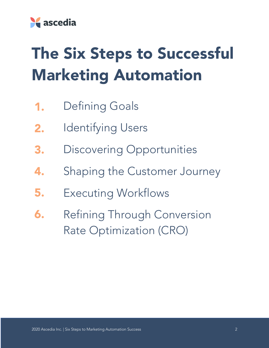

## The Six Steps to Successful Marketing Automation

- Defining Goals 1.
- Identifying Users 2.
- Discovering Opportunities 3.
- Shaping the Customer Journey 4.
- Executing Workflows 5.
- Refining Through Conversion Rate Optimization (CRO) 6.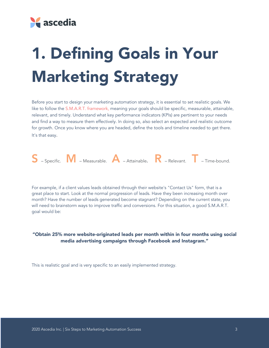

# 1. Defining Goals in Your Marketing Strategy

Before you start to design your marketing automation strategy, it is essential to set realistic goals. We like to follow the S.M.A.R.T. framework, meaning your goals should be specific, measurable, attainable, relevant, and timely. Understand what key performance indicators (KPIs) are pertinent to your needs and find a way to measure them effectively. In doing so, also select an expected and realistic outcome for growth. Once you know where you are headed, define the tools and timeline needed to get there. It's that easy.



For example, if a client values leads obtained through their website's "Contact Us" form, that is a great place to start. Look at the normal progression of leads. Have they been increasing month over month? Have the number of leads generated become stagnant? Depending on the current state, you will need to brainstorm ways to improve traffic and conversions. For this situation, a good S.M.A.R.T. goal would be:

#### "Obtain 25% more website-originated leads per month within in four months using social media advertising campaigns through Facebook and Instagram."

This is realistic goal and is very specific to an easily implemented strategy.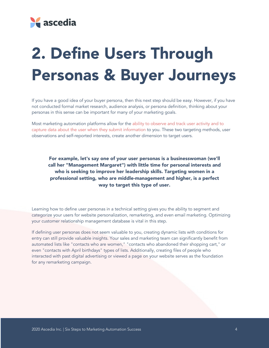

### 2. Define Users Through Personas & Buyer Journeys

If you have a good idea of your buyer persona, then this next step should be easy. However, if you have not conducted formal market research, audience analysis, or persona definition, thinking about your personas in this sense can be important for many of your marketing goals.

Most marketing automation platforms allow for the ability to observe and track user activity and to capture data about the user when they submit information to you. These two targeting methods, user observations and self-reported interests, create another dimension to target users.

For example, let's say one of your user personas is a businesswoman (we'll call her "Management Margaret") with little time for personal interests and who is seeking to improve her leadership skills. Targeting women in a professional setting, who are middle-management and higher, is a perfect way to target this type of user.

Learning how to define user personas in a technical setting gives you the ability to segment and categorize your users for website personalization, remarketing, and even email marketing. Optimizing your customer relationship management database is vital in this step.

If defining user personas does not seem valuable to you, creating dynamic lists with conditions for entry can still provide valuable insights. Your sales and marketing team can significantly benefit from automated lists like "contacts who are women," "contacts who abandoned their shopping cart," or even "contacts with April birthdays" types of lists. Additionally, creating files of people who interacted with past digital advertising or viewed a page on your website serves as the foundation for any remarketing campaign.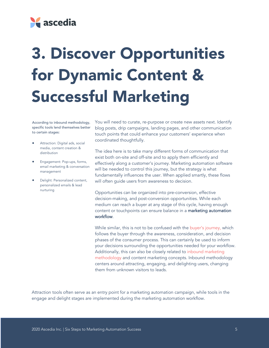

# 3. Discover Opportunities for Dynamic Content & Successful Marketing

According to inbound methodology, specific tools lend themselves better to certain stages:

- Attraction: Digital ads, social media, content creation & distribution
- Engagement: Pop-ups, forms, email marketing & conversation management
- Delight: Personalized content, personalized emails & lead nurturing

You will need to curate, re-purpose or create new assets next. Identify blog posts, drip campaigns, landing pages, and other communication touch points that could enhance your customers' experience when coordinated thoughtfully.

The idea here is to take many different forms of communication that exist both on-site and off-site and to apply them efficiently and effectively along a customer's journey. Marketing automation software will be needed to control this journey, but the strategy is what fundamentally influences the user. When applied smartly, these flows will often guide users from awareness to decision.

Opportunities can be organized into pre-conversion, effective decision-making, and post-conversion opportunities. While each medium can reach a buyer at any stage of this cycle, having enough content or touchpoints can ensure balance in a marketing automation workflow.

While similar, this is not to be confused with the buyer's journey, which follows the buyer through the awareness, consideration, and decision phases of the consumer process. This can certainly be used to inform your decisions surrounding the opportunities needed for your workflow. Additionally, this can also be closely related to inbound marketing methodology and content marketing concepts. Inbound methodology centers around attracting, engaging, and delighting users, changing them from unknown visitors to leads.

Attraction tools often serve as an entry point for a marketing automation campaign, while tools in the engage and delight stages are implemented during the marketing automation workflow.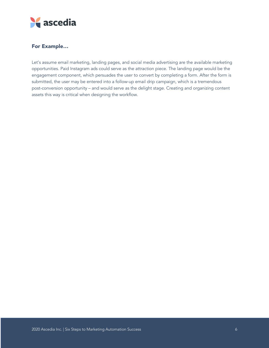

#### For Example…

Let's assume email marketing, landing pages, and social media advertising are the available marketing opportunities. Paid Instagram ads could serve as the attraction piece. The landing page would be the engagement component, which persuades the user to convert by completing a form. After the form is submitted, the user may be entered into a follow-up email drip campaign, which is a tremendous post-conversion opportunity – and would serve as the delight stage. Creating and organizing content assets this way is critical when designing the workflow.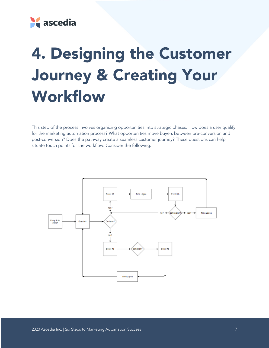

### 4. Designing the Customer Journey & Creating Your Workflow

This step of the process involves organizing opportunities into strategic phases. How does a user qualify for the marketing automation process? What opportunities move buyers between pre-conversion and post-conversion? Does the pathway create a seamless customer journey? These questions can help situate touch points for the workflow. Consider the following:

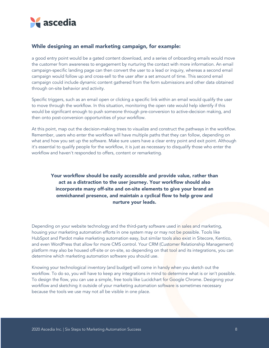

#### While designing an email marketing campaign, for example:

a good entry point would be a gated content download, and a series of onboarding emails would move the customer from awareness to engagement by nurturing the contact with more information. An email campaign-specific landing page can then convert the user to a lead or inquiry, whereas a second email campaign would follow up and cross-sell to the user after a set amount of time. This second email campaign could include dynamic content gathered from the form submissions and other data obtained through on-site behavior and activity.

Specific triggers, such as an email open or clicking a specific link within an email would qualify the user to move through the workflow. In this situation, monitoring the open rate would help identify if this would be significant enough to push someone through pre-conversion to active-decision making, and then onto post-conversion opportunities of your workflow.

At this point, map out the decision-making trees to visualize and construct the pathways in the workflow. Remember, users who enter the workflow will have multiple paths that they can follow, depending on what and how you set up the software. Make sure users have a clear entry point and exit point. Although it's essential to qualify people for the workflow, it is just as necessary to disqualify those who enter the workflow and haven't responded to offers, content or remarketing.

#### Your workflow should be easily accessible and provide value, rather than act as a distraction to the user journey. Your workflow should also incorporate many off-site and on-site elements to give your brand an omnichannel presence, and maintain a cyclical flow to help grow and nurture your leads.

Depending on your website technology and the third-party software used in sales and marketing, housing your marketing automation efforts in one system may or may not be possible. Tools like HubSpot and Pardot make marketing automation easy, but similar tools also exist in Sitecore, Kentico, and even WordPress that allow for more CMS control. Your CRM (Customer Relationship Management) platform may also be housed off-site or on-site, so depending on that tool and its integrations, you can determine which marketing automation software you should use.

Knowing your technological inventory (and budget) will come in handy when you sketch out the workflow. To do so, you will have to keep any integrations in mind to determine what is or isn't possible. To design the flow, you can use a simple, free tools like Lucidchart for Google Chrome. Designing your workflow and sketching it outside of your marketing automation software is sometimes necessary because the tools we use may not all be visible in one place.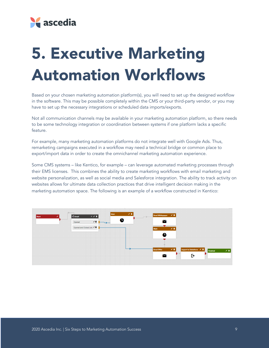

### 5. Executive Marketing Automation Workflows

Based on your chosen marketing automation platform(s), you will need to set up the designed workflow in the software. This may be possible completely within the CMS or your third-party vendor, or you may have to set up the necessary integrations or scheduled data imports/exports.

Not all communication channels may be available in your marketing automation platform, so there needs to be some technology integration or coordination between systems if one platform lacks a specific feature.

For example, many marketing automation platforms do not integrate well with Google Ads. Thus, remarketing campaigns executed in a workflow may need a technical bridge or common place to export/import data in order to create the omnichannel marketing automation experience.

Some CMS systems – like Kentico, for example – can leverage automated marketing processes through their EMS licenses. This combines the ability to create marketing workflows with email marketing and website personalization, as well as social media and Salesforce integration. The ability to track activity on websites allows for ultimate data collection practices that drive intelligent decision making in the marketing automation space. The following is an example of a workflow constructed in Kentico:

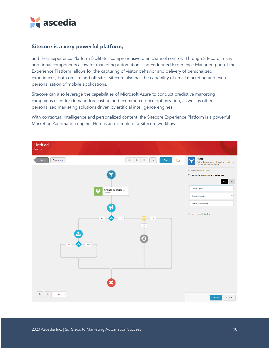

#### Sitecore is a very powerful platform,

and their Experience Platform facilitates comprehensive omnichannel control. Through Sitecore, many additional components allow for marketing automation. The Federated Experience Manager, part of the Experience Platform, allows for the capturing of visitor behavior and delivery of personalized experiences, both on-site and off-site. Sitecore also has the capability of email marketing and even personalization of mobile applications.

Sitecore can also leverage the capabilities of Microsoft Azure to conduct predictive marketing campaigns used for demand forecasting and ecommerce price optimization, as well as other personalized marketing solutions driven by artificial intelligence engines.

With contextual intelligence and personalized content, the Sitecore Experience Platform is a powerful Marketing Automation engine. Here is an example of a Sitecore workflow:

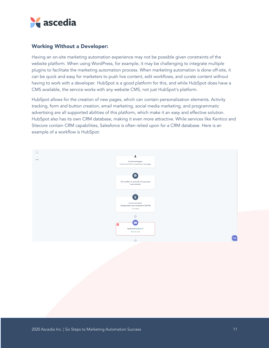

#### Working Without a Developer:

Having an on-site marketing automation experience may not be possible given constraints of the website platform. When using WordPress, for example, it may be challenging to integrate multiple plugins to facilitate the marketing automation process. When marketing automation is done off-site, it can be quick and easy for marketers to push live content, edit workflows, and curate content without having to work with a developer. HubSpot is a good platform for this, and while HubSpot does have a CMS available, the service works with any website CMS, not just HubSpot's platform.

HubSpot allows for the creation of new pages, which can contain personalization elements. Activity tracking, form and button creation, email marketing, social media marketing, and programmatic advertising are all supported abilities of this platform, which make it an easy and effective solution. HubSpot also has its own CRM database, making it even more attractive. While services like Kentico and Sitecore contain CRM capabilities, Salesforce is often relied upon for a CRM database. Here is an example of a workflow is HubSpot:

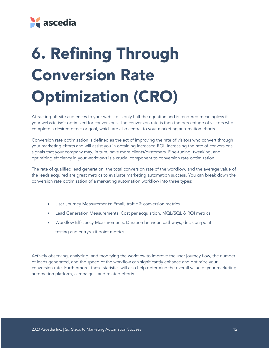

# 6. Refining Through Conversion Rate Optimization (CRO)

Attracting off-site audiences to your website is only half the equation and is rendered meaningless if your website isn't optimized for conversions. The conversion rate is then the percentage of visitors who complete a desired effect or goal, which are also central to your marketing automation efforts.

Conversion rate optimization is defined as the act of improving the rate of visitors who convert through your marketing efforts and will assist you in obtaining increased ROI. Increasing the rate of conversions signals that your company may, in turn, have more clients/customers. Fine-tuning, tweaking, and optimizing efficiency in your workflows is a crucial component to conversion rate optimization.

The rate of qualified lead generation, the total conversion rate of the workflow, and the average value of the leads acquired are great metrics to evaluate marketing automation success. You can break down the conversion rate optimization of a marketing automation workflow into three types:

- User Journey Measurements: Email, traffic & conversion metrics
- Lead Generation Measurements: Cost per acquisition, MQL/SQL & ROI metrics
- Workflow Efficiency Measurements: Duration between pathways, decision-point

testing and entry/exit point metrics

Actively observing, analyzing, and modifying the workflow to improve the user journey flow, the number of leads generated, and the speed of the workflow can significantly enhance and optimize your conversion rate. Furthermore, these statistics will also help determine the overall value of your marketing automation platform, campaigns, and related efforts.